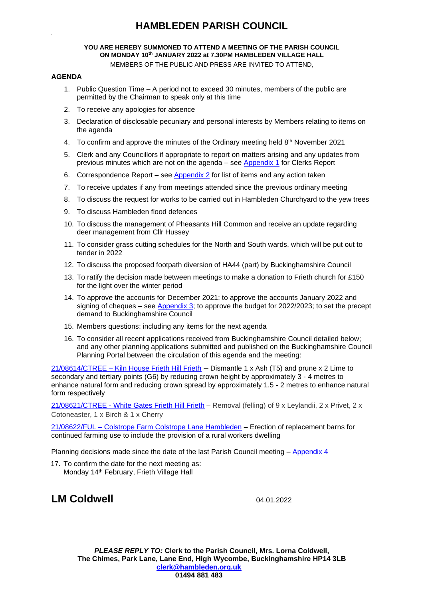#### **YOU ARE HEREBY SUMMONED TO ATTEND A MEETING OF THE PARISH COUNCIL ON MONDAY 10 th JANUARY 2022 at 7.30PM HAMBLEDEN VILLAGE HALL**

MEMBERS OF THE PUBLIC AND PRESS ARE INVITED TO ATTEND,

### **AGENDA**

- 1. Public Question Time A period not to exceed 30 minutes, members of the public are permitted by the Chairman to speak only at this time
- 2. To receive any apologies for absence
- 3. Declaration of disclosable pecuniary and personal interests by Members relating to items on the agenda
- 4. To confirm and approve the minutes of the Ordinary meeting held  $8<sup>th</sup>$  November 2021
- 5. Clerk and any Councillors if appropriate to report on matters arising and any updates from previous minutes which are not on the agenda – see [Appendix 1](#page-1-0) for Clerks Report
- 6. Correspondence Report see [Appendix 2](#page-1-1) for list of items and any action taken
- 7. To receive updates if any from meetings attended since the previous ordinary meeting
- 8. To discuss the request for works to be carried out in Hambleden Churchyard to the yew trees
- 9. To discuss Hambleden flood defences
- 10. To discuss the management of Pheasants Hill Common and receive an update regarding deer management from Cllr Hussey
- 11. To consider grass cutting schedules for the North and South wards, which will be put out to tender in 2022
- 12. To discuss the proposed footpath diversion of HA44 (part) by Buckinghamshire Council
- 13. To ratify the decision made between meetings to make a donation to Frieth church for £150 for the light over the winter period
- 14. To approve the accounts for December 2021; to approve the accounts January 2022 and signing of cheques – see Appendix 3; to approve the budget for 2022/2023; to set the precept demand to Buckinghamshire Council
- 15. Members questions: including any items for the next agenda
- 16. To consider all recent applications received from Buckinghamshire Council detailed below; and any other planning applications submitted and published on the Buckinghamshire Council Planning Portal between the circulation of this agenda and the meeting:

21/08614/CTREE – [Kiln House Frieth Hill Frieth](https://publicaccess.wycombe.gov.uk/idoxpa-web/applicationDetails.do?activeTab=documents&keyVal=R3U4SBSCLQH00) – Dismantle 1 x Ash (T5) and prune x 2 Lime to secondary and tertiary points (G6) by reducing crown height by approximately 3 - 4 metres to enhance natural form and reducing crown spread by approximately 1.5 - 2 metres to enhance natural form respectively

21/08621/CTREE - [White Gates Frieth Hill Frieth](https://publicaccess.wycombe.gov.uk/idoxpa-web/applicationDetails.do?activeTab=documents&keyVal=R3VZFXSCLR300) - Removal (felling) of 9 x Leylandii, 2 x Privet, 2 x Cotoneaster, 1 x Birch & 1 x Cherry

21/08622/FUL – [Colstrope Farm Colstrope Lane Hambleden](https://publicaccess.wycombe.gov.uk/idoxpa-web/applicationDetails.do?activeTab=documents&keyVal=R3VZG6SCLR500) – Erection of replacement barns for continued farming use to include the provision of a rural workers dwelling

Planning decisions made since the date of the last Parish Council meeting – [Appendix 4](#page-2-0)

17. To confirm the date for the next meeting as: Monday 14<sup>th</sup> February, Frieth Village Hall

**LM Coldwell** 04.01.2022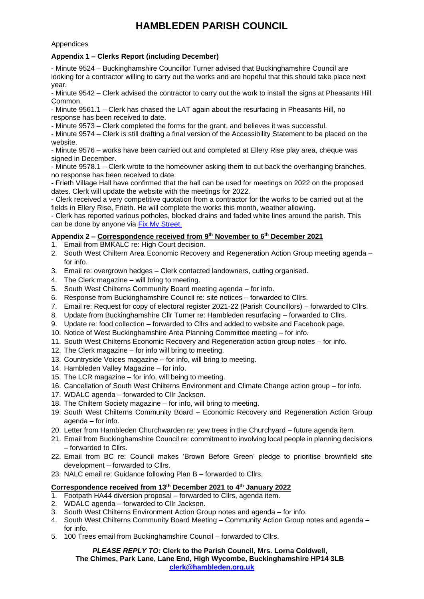### Appendices

## <span id="page-1-0"></span>**Appendix 1 – Clerks Report (including December)**

- Minute 9524 – Buckinghamshire Councillor Turner advised that Buckinghamshire Council are looking for a contractor willing to carry out the works and are hopeful that this should take place next year.

- Minute 9542 – Clerk advised the contractor to carry out the work to install the signs at Pheasants Hill Common.

- Minute 9561.1 – Clerk has chased the LAT again about the resurfacing in Pheasants Hill, no response has been received to date.

- Minute 9573 – Clerk completed the forms for the grant, and believes it was successful.

- Minute 9574 – Clerk is still drafting a final version of the Accessibility Statement to be placed on the website.

- Minute 9576 – works have been carried out and completed at Ellery Rise play area, cheque was signed in December.

- Minute 9578.1 – Clerk wrote to the homeowner asking them to cut back the overhanging branches, no response has been received to date.

- Frieth Village Hall have confirmed that the hall can be used for meetings on 2022 on the proposed dates. Clerk will update the website with the meetings for 2022.

- Clerk received a very competitive quotation from a contractor for the works to be carried out at the fields in Ellery Rise, Frieth. He will complete the works this month, weather allowing.

- Clerk has reported various potholes, blocked drains and faded white lines around the parish. This can be done by anyone via [Fix My Street.](https://www.fixmystreet.com/)

## <span id="page-1-1"></span>**Appendix 2 – Correspondence received from 9 th November to 6th December 2021**

1. Email from BMKALC re: High Court decision.

- 2. South West Chiltern Area Economic Recovery and Regeneration Action Group meeting agenda for info.
- 3. Email re: overgrown hedges Clerk contacted landowners, cutting organised.
- 4. The Clerk magazine will bring to meeting.
- 5. South West Chilterns Community Board meeting agenda for info.
- 6. Response from Buckinghamshire Council re: site notices forwarded to Cllrs.
- 7. Email re: Request for copy of electoral register 2021-22 (Parish Councillors) forwarded to Cllrs.
- 8. Update from Buckinghamshire Cllr Turner re: Hambleden resurfacing forwarded to Cllrs.
- 9. Update re: food collection forwarded to Cllrs and added to website and Facebook page.
- 10. Notice of West Buckinghamshire Area Planning Committee meeting for info.
- 11. South West Chilterns Economic Recovery and Regeneration action group notes for info.
- 12. The Clerk magazine for info will bring to meeting.
- 13. Countryside Voices magazine for info, will bring to meeting.
- 14. Hambleden Valley Magazine for info.
- 15. The LCR magazine for info, will being to meeting.
- 16. Cancellation of South West Chilterns Environment and Climate Change action group for info.
- 17. WDALC agenda forwarded to Cllr Jackson.
- 18. The Chiltern Society magazine for info, will bring to meeting.
- 19. South West Chilterns Community Board Economic Recovery and Regeneration Action Group agenda – for info.
- 20. Letter from Hambleden Churchwarden re: yew trees in the Churchyard future agenda item.
- 21. Email from Buckinghamshire Council re: commitment to involving local people in planning decisions – forwarded to Cllrs.
- 22. Email from BC re: Council makes 'Brown Before Green' pledge to prioritise brownfield site development – forwarded to Cllrs.
- 23. NALC email re: Guidance following Plan B forwarded to Cllrs.

### **Correspondence received from 13th December 2021 to 4 th January 2022**

- 1. Footpath HA44 diversion proposal forwarded to Cllrs, agenda item.
- 2. WDALC agenda forwarded to Cllr Jackson.
- 3. South West Chilterns Environment Action Group notes and agenda for info.
- 4. South West Chilterns Community Board Meeting Community Action Group notes and agenda for info.
- 5. 100 Trees email from Buckinghamshire Council forwarded to Cllrs.

#### *PLEASE REPLY TO:* **Clerk to the Parish Council, Mrs. Lorna Coldwell, The Chimes, Park Lane, Lane End, High Wycombe, Buckinghamshire HP14 3LB [clerk@hambleden.org.uk](mailto:clerk@hambleden.org.uk)**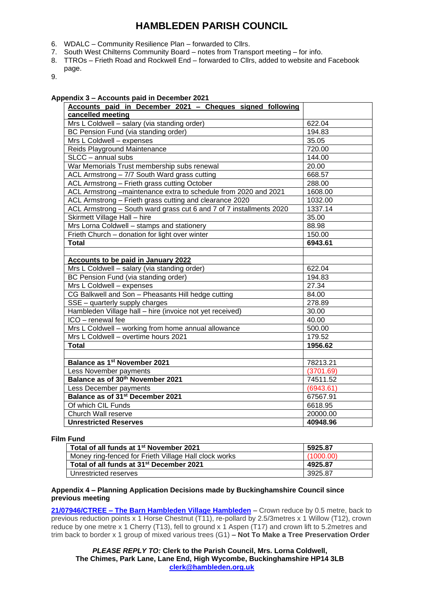- 6. WDALC Community Resilience Plan forwarded to Cllrs.
- 7. South West Chilterns Community Board notes from Transport meeting for info.
- 8. TTROs Frieth Road and Rockwell End forwarded to Cllrs, added to website and Facebook page.
- 9.

#### **Appendix 3 – Accounts paid in December 2021**

| Accounts paid in December 2021 - Cheques signed following           |           |
|---------------------------------------------------------------------|-----------|
| cancelled meeting                                                   |           |
| Mrs L Coldwell - salary (via standing order)                        | 622.04    |
| BC Pension Fund (via standing order)                                | 194.83    |
| Mrs L Coldwell - expenses                                           | 35.05     |
| Reids Playground Maintenance                                        | 720.00    |
| $\overline{\text{SLCC}}$ – annual subs                              | 144.00    |
| War Memorials Trust membership subs renewal                         | 20.00     |
| ACL Armstrong - 7/7 South Ward grass cutting                        | 668.57    |
| ACL Armstrong - Frieth grass cutting October                        | 288.00    |
| ACL Armstrong -maintenance extra to schedule from 2020 and 2021     | 1608.00   |
| ACL Armstrong - Frieth grass cutting and clearance 2020             | 1032.00   |
| ACL Armstrong - South ward grass cut 6 and 7 of 7 installments 2020 | 1337.14   |
| Skirmett Village Hall - hire                                        | 35.00     |
| Mrs Lorna Coldwell - stamps and stationery                          | 88.98     |
| Frieth Church - donation for light over winter                      | 150.00    |
| <b>Total</b>                                                        | 6943.61   |
|                                                                     |           |
| <b>Accounts to be paid in January 2022</b>                          |           |
| Mrs L Coldwell - salary (via standing order)                        | 622.04    |
| BC Pension Fund (via standing order)                                | 194.83    |
| Mrs L Coldwell - expenses                                           | 27.34     |
| CG Balkwell and Son - Pheasants Hill hedge cutting                  | 84.00     |
| SSE - quarterly supply charges                                      | 278.89    |
| Hambleden Village hall - hire (invoice not yet received)            | 30.00     |
| ICO - renewal fee                                                   | 40.00     |
| Mrs L Coldwell - working from home annual allowance                 | 500.00    |
| Mrs L Coldwell - overtime hours 2021                                | 179.52    |
| <b>Total</b>                                                        | 1956.62   |
|                                                                     |           |
| Balance as 1 <sup>st</sup> November 2021                            | 78213.21  |
| Less November payments                                              | (3701.69) |
| Balance as of 30th November 2021                                    | 74511.52  |
| Less December payments                                              | (6943.61) |
| Balance as of 31 <sup>st</sup> December 2021                        | 67567.91  |
| Of which CIL Funds                                                  | 6618.95   |
| Church Wall reserve                                                 | 20000.00  |
| <b>Unrestricted Reserves</b>                                        | 40948.96  |

#### **Film Fund**

| Total of all funds at 1 <sup>st</sup> November 2021   | 5925.87   |
|-------------------------------------------------------|-----------|
| Money ring-fenced for Frieth Village Hall clock works | (1000.00) |
| Total of all funds at 31 <sup>st</sup> December 2021  | 4925.87   |
| Unrestricted reserves                                 | 3925.87   |

#### <span id="page-2-0"></span>**Appendix 4 – Planning Application Decisions made by Buckinghamshire Council since previous meeting**

**21/07946/CTREE – [The Barn Hambleden Village Hambleden](https://publicaccess.wycombe.gov.uk/idoxpa-web/applicationDetails.do?activeTab=documents&keyVal=R08FH4SCJO600)** – Crown reduce by 0.5 metre, back to previous reduction points x 1 Horse Chestnut (T11), re-pollard by 2.5/3metres x 1 Willow (T12), crown reduce by one metre x 1 Cherry (T13), fell to ground x 1 Aspen (T17) and crown lift to 5.2metres and trim back to border x 1 group of mixed various trees (G1) **– Not To Make a Tree Preservation Order**

*PLEASE REPLY TO:* **Clerk to the Parish Council, Mrs. Lorna Coldwell, The Chimes, Park Lane, Lane End, High Wycombe, Buckinghamshire HP14 3LB [clerk@hambleden.org.uk](mailto:clerk@hambleden.org.uk)**